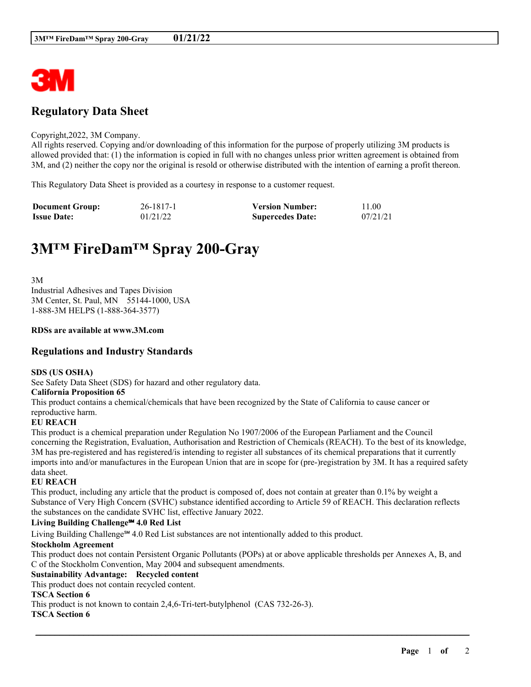

# **Regulatory Data Sheet**

#### Copyright,2022, 3M Company.

All rights reserved. Copying and/or downloading of this information for the purpose of properly utilizing 3M products is allowed provided that: (1) the information is copied in full with no changes unless prior written agreement is obtained from 3M, and (2) neither the copy nor the original is resold or otherwise distributed with the intention of earning a profit thereon.

This Regulatory Data Sheet is provided as a courtesy in response to a customer request.

| <b>Document Group:</b> | 26-1817-1 | <b>Version Number:</b>  | 11.00    |
|------------------------|-----------|-------------------------|----------|
| <b>Issue Date:</b>     | 01/21/22  | <b>Supercedes Date:</b> | 07/21/21 |

# **3M™ FireDam™ Spray 200-Gray**

3M Industrial Adhesives and Tapes Division 3M Center, St. Paul, MN 55144-1000, USA 1-888-3M HELPS (1-888-364-3577)

# **RDSs are available at www.3M.com**

# **Regulations and Industry Standards**

# **SDS (US OSHA)**

See Safety Data Sheet (SDS) for hazard and other regulatory data.

# **California Proposition 65**

This product contains a chemical/chemicals that have been recognized by the State of California to cause cancer or reproductive harm.

# **EU REACH**

This product is a chemical preparation under Regulation No 1907/2006 of the European Parliament and the Council concerning the Registration, Evaluation, Authorisation and Restriction of Chemicals (REACH). To the best of its knowledge, 3M has pre-registered and has registered/is intending to register all substances of its chemical preparations that it currently imports into and/or manufactures in the European Union that are in scope for (pre-)registration by 3M. It has a required safety data sheet.

# **EU REACH**

This product, including any article that the product is composed of, does not contain at greater than 0.1% by weight a Substance of Very High Concern (SVHC) substance identified according to Article 59 of REACH. This declaration reflects the substances on the candidate SVHC list, effective January 2022.

# **Living Building Challenge℠ 4.0 Red List**

Living Building Challenge℠ 4.0 Red List substances are not intentionally added to this product.

# **Stockholm Agreement**

This product does not contain Persistent Organic Pollutants (POPs) at or above applicable thresholds per Annexes A, B, and C of the Stockholm Convention, May 2004 and subsequent amendments.

\_\_\_\_\_\_\_\_\_\_\_\_\_\_\_\_\_\_\_\_\_\_\_\_\_\_\_\_\_\_\_\_\_\_\_\_\_\_\_\_\_\_\_\_\_\_\_\_\_\_\_\_\_\_\_\_\_\_\_\_\_\_\_\_\_\_\_\_\_\_\_\_\_\_\_\_\_\_\_\_\_\_\_\_\_\_\_\_\_\_

# **Sustainability Advantage: Recycled content**

This product does not contain recycled content.

# **TSCA Section 6**

This product is not known to contain 2,4,6-Tri-tert-butylphenol (CAS 732-26-3).

# **TSCA Section 6**